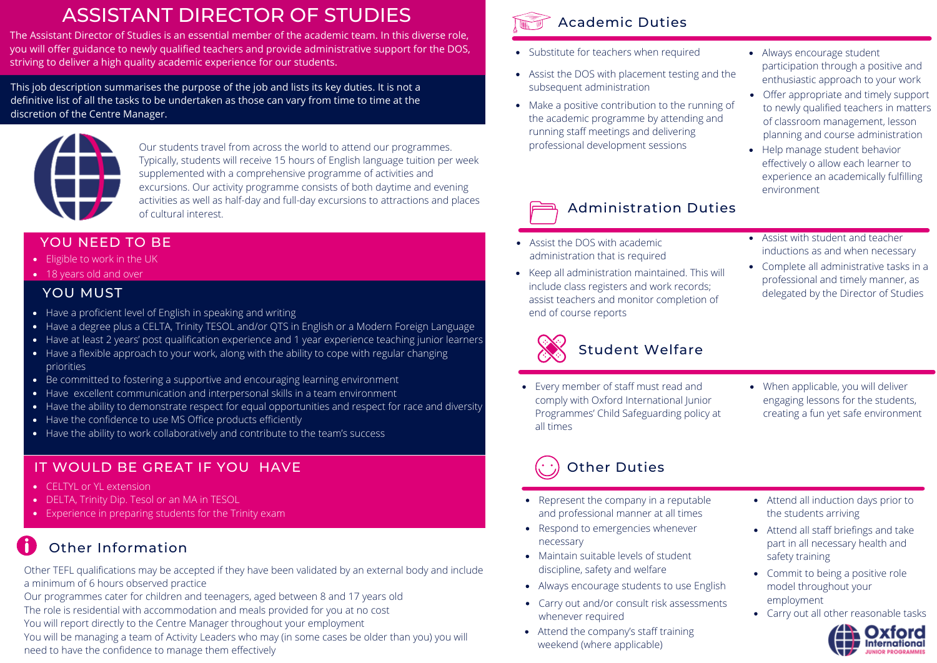## ASSISTANT DIRECTOR OF STUDIES

The Assistant Director of Studies is an essential member of the academic team. In this diverse role, you will offer guidance to newly qualified teachers and provide administrative support for the DOS, striving to deliver a high quality academic experience for our students.

This job description summarises the purpose of the job and lists its key duties. It is not a definitive list of all the tasks to be undertaken as those can vary from time to time at the discretion of the Centre Manager.



Our students travel from across the world to attend our programmes. Typically, students will receive 15 hours of English language tuition per week supplemented with a comprehensive programme of activities and excursions. Our activity programme consists of both daytime and evening activities as well as half-day and full-day excursions to attractions and places of cultural interest.

#### YOU NEED TO BE

- Eligible to work in the UK
- 18 years old and over

#### YOU MUST

- Have a proficient level of English in speaking and writing
- Have a degree plus a CELTA, Trinity TESOL and/or QTS in English or a Modern Foreign Language
- Have at least 2 years' post qualification experience and 1 year experience teaching junior learners
- Have a flexible approach to your work, along with the ability to cope with regular changing priorities
- Be committed to fostering a supportive and encouraging learning environment
- Have excellent communication and interpersonal skills in a team environment
- Have the ability to demonstrate respect for equal opportunities and respect for race and diversity
- Have the confidence to use MS Office products efficiently
- Have the ability to work collaboratively and contribute to the team's success

### IT WOULD BE GREAT IF YOU HAVE

- CELTYL or YL extension
- DELTA, Trinity Dip. Tesol or an MA in TESOL
- Experience in preparing students for the Trinity exam

## Other Information

Other TEFL qualifications may be accepted if they have been validated by an external body and include a minimum of 6 hours observed practice

Our programmes cater for children and teenagers, aged between 8 and 17 years old The role is residential with accommodation and meals provided for you at no cost You will report directly to the Centre Manager throughout your employment

You will be managing a team of Activity Leaders who may (in some cases be older than you) you will need to have the confidence to manage them effectively



#### • Substitute for teachers when required • Always encourage student

- Assist the DOS with placement testing and the enthusiastic approach to your work subsequent administration
- Make a positive contribution to the running of the academic programme by attending and running staff meetings and delivering professional development sessions Help manage student behavior
- participation through a positive and
- Offer appropriate and timely support to newly qualified teachers in matters of classroom management, lesson planning and course administration
	- effectively o allow each learner to experience an academically fulfilling environment

## Administration Duties

- Assist the DOS with academic administration that is required
- Keep all administration maintained. This will include class registers and work records; assist teachers and monitor completion of end of course reports
- Assist with student and teacher inductions as and when necessary
- Complete all administrative tasks in a professional and timely manner, as delegated by the Director of Studies



### Student Welfare

- Every member of staff must read and comply with Oxford International Junior Programmes' Child Safeguarding policy at all times
- When applicable, you will deliver engaging lessons for the students, creating a fun yet safe environment

# Other Duties

- Represent the company in a reputable and professional manner at all times
- Respond to emergencies whenever necessary
- Maintain suitable levels of student discipline, safety and welfare
- Always encourage students to use English
- Carry out and/or consult risk assessments whenever required
- Attend the company's staff training weekend (where applicable)
- Attend all induction days prior to the students arriving
- Attend all staff briefings and take part in all necessary health and safety training
- Commit to being a positive role model throughout your employment
- Carry out all other reasonable tasks